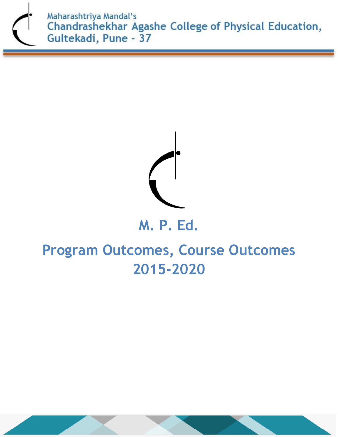



## **M. P. Ed.**

# **Program Outcomes, Course Outcomes 2015-2020**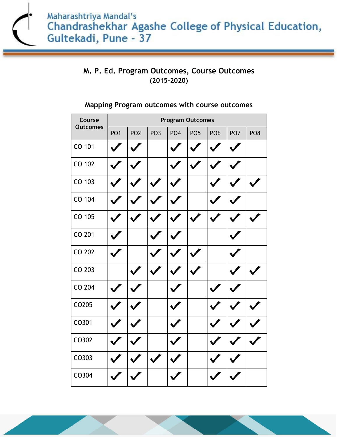### **M. P. Ed. Program Outcomes, Course Outcomes (2015-2020)**

| Course<br><b>Outcomes</b> | <b>Program Outcomes</b> |                 |                 |                 |                 |                 |                 |                 |  |
|---------------------------|-------------------------|-----------------|-----------------|-----------------|-----------------|-----------------|-----------------|-----------------|--|
|                           | PO <sub>1</sub>         | PO <sub>2</sub> | PO <sub>3</sub> | PO <sub>4</sub> | PO <sub>5</sub> | PO <sub>6</sub> | PO <sub>7</sub> | PO <sub>8</sub> |  |
| CO 101                    |                         |                 |                 |                 |                 |                 |                 |                 |  |
| CO 102                    |                         |                 |                 |                 |                 |                 |                 |                 |  |
| CO 103                    |                         |                 |                 |                 |                 |                 |                 |                 |  |
| CO 104                    |                         |                 |                 |                 |                 |                 |                 |                 |  |
| CO 105                    |                         |                 |                 |                 |                 |                 |                 |                 |  |
| CO 201                    |                         |                 |                 |                 |                 |                 |                 |                 |  |
| CO 202                    |                         |                 |                 |                 |                 |                 |                 |                 |  |
| CO 203                    |                         |                 |                 |                 |                 |                 |                 |                 |  |
| CO 204                    |                         |                 |                 |                 |                 |                 |                 |                 |  |
| CO205                     |                         |                 |                 |                 |                 |                 |                 |                 |  |
| CO301                     |                         |                 |                 |                 |                 |                 |                 |                 |  |
| CO302                     |                         |                 |                 |                 |                 |                 |                 |                 |  |
| CO303                     |                         |                 |                 |                 |                 |                 |                 |                 |  |
| CO304                     |                         |                 |                 |                 |                 |                 |                 |                 |  |

#### **Mapping Program outcomes with course outcomes**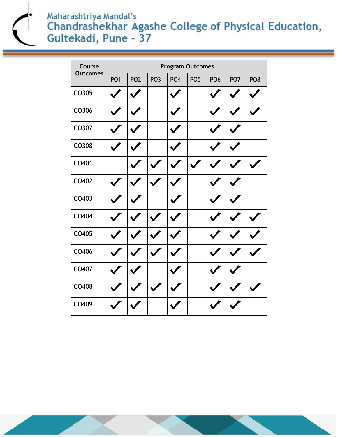Maharashtriya Mandal's<br>Chandrashekhar Agashe College of Physical Education, Gultekadi, Pune - 37

| Course<br><b>Outcomes</b> | <b>Program Outcomes</b> |                 |                 |                 |                 |                 |                 |                 |  |
|---------------------------|-------------------------|-----------------|-----------------|-----------------|-----------------|-----------------|-----------------|-----------------|--|
|                           | PO <sub>1</sub>         | PO <sub>2</sub> | PO <sub>3</sub> | PO <sub>4</sub> | PO <sub>5</sub> | PO <sub>6</sub> | PO <sub>7</sub> | PO <sub>8</sub> |  |
| CO305                     |                         |                 |                 |                 |                 |                 |                 |                 |  |
| CO306                     |                         |                 |                 |                 |                 |                 |                 |                 |  |
| CO307                     |                         |                 |                 |                 |                 |                 |                 |                 |  |
| CO308                     |                         |                 |                 |                 |                 |                 |                 |                 |  |
| CO401                     |                         |                 |                 |                 |                 |                 |                 |                 |  |
| CO402                     |                         |                 |                 |                 |                 |                 |                 |                 |  |
| CO403                     |                         |                 |                 |                 |                 |                 |                 |                 |  |
| CO404                     |                         |                 |                 |                 |                 |                 |                 |                 |  |
| CO405                     |                         |                 |                 |                 |                 |                 |                 |                 |  |
| CO406                     |                         |                 |                 |                 |                 |                 |                 |                 |  |
| CO407                     |                         |                 |                 |                 |                 |                 |                 |                 |  |
| CO408                     |                         |                 |                 |                 |                 |                 |                 |                 |  |
| CO409                     |                         |                 |                 |                 |                 |                 |                 |                 |  |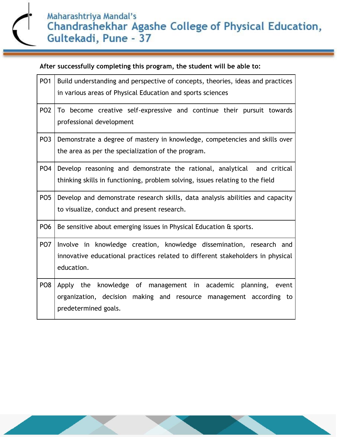| PO <sub>1</sub> | Build understanding and perspective of concepts, theories, ideas and practices<br>in various areas of Physical Education and sports sciences                         |  |  |  |  |
|-----------------|----------------------------------------------------------------------------------------------------------------------------------------------------------------------|--|--|--|--|
| PO <sub>2</sub> | To become creative self-expressive and continue their pursuit towards<br>professional development                                                                    |  |  |  |  |
| PO <sub>3</sub> | Demonstrate a degree of mastery in knowledge, competencies and skills over<br>the area as per the specialization of the program.                                     |  |  |  |  |
| PO <sub>4</sub> | Develop reasoning and demonstrate the rational, analytical and critical<br>thinking skills in functioning, problem solving, issues relating to the field             |  |  |  |  |
| PO <sub>5</sub> | Develop and demonstrate research skills, data analysis abilities and capacity<br>to visualize, conduct and present research.                                         |  |  |  |  |
| PO <sub>6</sub> | Be sensitive about emerging issues in Physical Education & sports.                                                                                                   |  |  |  |  |
| PO <sub>7</sub> | Involve in knowledge creation, knowledge dissemination, research and<br>innovative educational practices related to different stakeholders in physical<br>education. |  |  |  |  |
| PO <sub>8</sub> | Apply the knowledge of management in academic planning, event<br>organization, decision making and resource management according to<br>predetermined goals.          |  |  |  |  |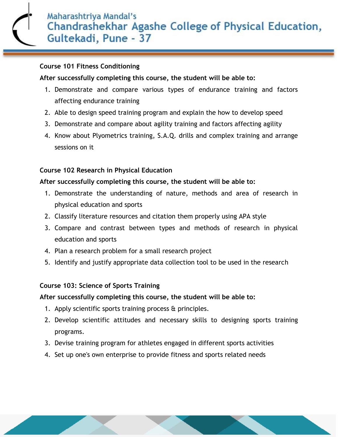#### **Course 101 Fitness Conditioning**

#### **After successfully completing this course, the student will be able to:**

- 1. Demonstrate and compare various types of endurance training and factors affecting endurance training
- 2. Able to design speed training program and explain the how to develop speed
- 3. Demonstrate and compare about agility training and factors affecting agility
- 4. Know about Plyometrics training, S.A.Q. drills and complex training and arrange sessions on it

#### **Course 102 Research in Physical Education**

#### **After successfully completing this course, the student will be able to:**

- 1. Demonstrate the understanding of nature, methods and area of research in physical education and sports
- 2. Classify literature resources and citation them properly using APA style
- 3. Compare and contrast between types and methods of research in physical education and sports
- 4. Plan a research problem for a small research project
- 5. Identify and justify appropriate data collection tool to be used in the research

#### **Course 103: Science of Sports Training**

- 1. Apply scientific sports training process & principles.
- 2. Develop scientific attitudes and necessary skills to designing sports training programs.
- 3. Devise training program for athletes engaged in different sports activities
- 4. Set up one's own enterprise to provide fitness and sports related needs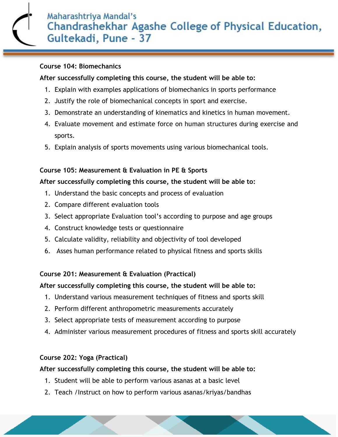#### **Course 104: Biomechanics**

#### **After successfully completing this course, the student will be able to:**

- 1. Explain with examples applications of biomechanics in sports performance
- 2. Justify the role of biomechanical concepts in sport and exercise.
- 3. Demonstrate an understanding of kinematics and kinetics in human movement.
- 4. Evaluate movement and estimate force on human structures during exercise and sports.
- 5. Explain analysis of sports movements using various biomechanical tools.

#### **Course 105: Measurement & Evaluation in PE & Sports**

#### **After successfully completing this course, the student will be able to:**

- 1. Understand the basic concepts and process of evaluation
- 2. Compare different evaluation tools
- 3. Select appropriate Evaluation tool's according to purpose and age groups
- 4. Construct knowledge tests or questionnaire
- 5. Calculate validity, reliability and objectivity of tool developed
- 6. Asses human performance related to physical fitness and sports skills

#### **Course 201: Measurement & Evaluation (Practical)**

#### **After successfully completing this course, the student will be able to:**

- 1. Understand various measurement techniques of fitness and sports skill
- 2. Perform different anthropometric measurements accurately
- 3. Select appropriate tests of measurement according to purpose
- 4. Administer various measurement procedures of fitness and sports skill accurately

#### **Course 202: Yoga (Practical)**

- 1. Student will be able to perform various asanas at a basic level
- 2. Teach /Instruct on how to perform various asanas/kriyas/bandhas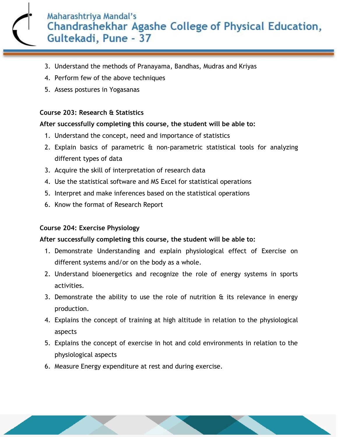- 3. Understand the methods of Pranayama, Bandhas, Mudras and Kriyas
- 4. Perform few of the above techniques
- 5. Assess postures in Yogasanas

#### **Course 203: Research & Statistics**

#### **After successfully completing this course, the student will be able to:**

- 1. Understand the concept, need and importance of statistics
- 2. Explain basics of parametric & non-parametric statistical tools for analyzing different types of data
- 3. Acquire the skill of interpretation of research data
- 4. Use the statistical software and MS Excel for statistical operations
- 5. Interpret and make inferences based on the statistical operations
- 6. Know the format of Research Report

#### **Course 204: Exercise Physiology**

- 1. Demonstrate Understanding and explain physiological effect of Exercise on different systems and/or on the body as a whole.
- 2. Understand bioenergetics and recognize the role of energy systems in sports activities.
- 3. Demonstrate the ability to use the role of nutrition  $\hat{a}$  its relevance in energy production.
- 4. Explains the concept of training at high altitude in relation to the physiological aspects
- 5. Explains the concept of exercise in hot and cold environments in relation to the physiological aspects
- 6. Measure Energy expenditure at rest and during exercise.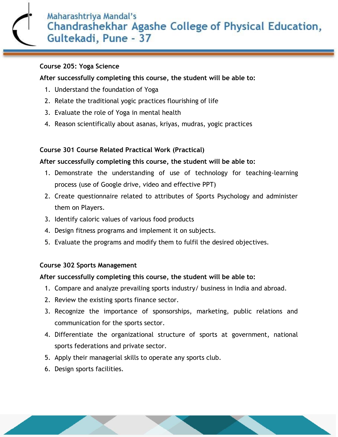#### **Course 205: Yoga Science**

#### **After successfully completing this course, the student will be able to:**

- 1. Understand the foundation of Yoga
- 2. Relate the traditional yogic practices flourishing of life
- 3. Evaluate the role of Yoga in mental health
- 4. Reason scientifically about asanas, kriyas, mudras, yogic practices

#### **Course 301 Course Related Practical Work (Practical)**

#### **After successfully completing this course, the student will be able to:**

- 1. Demonstrate the understanding of use of technology for teaching-learning process (use of Google drive, video and effective PPT)
- 2. Create questionnaire related to attributes of Sports Psychology and administer them on Players.
- 3. Identify caloric values of various food products
- 4. Design fitness programs and implement it on subjects.
- 5. Evaluate the programs and modify them to fulfil the desired objectives.

#### **Course 302 Sports Management**

- 1. Compare and analyze prevailing sports industry/ business in India and abroad.
- 2. Review the existing sports finance sector.
- 3. Recognize the importance of sponsorships, marketing, public relations and communication for the sports sector.
- 4. Differentiate the organizational structure of sports at government, national sports federations and private sector.
- 5. Apply their managerial skills to operate any sports club.
- 6. Design sports facilities.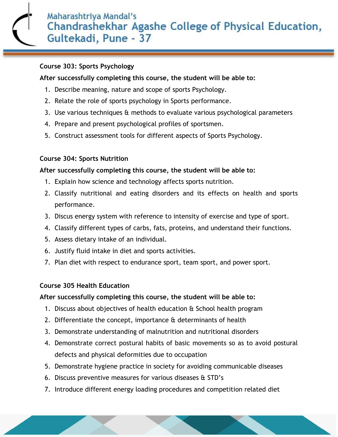#### **Course 303: Sports Psychology**

#### **After successfully completing this course, the student will be able to:**

- 1. Describe meaning, nature and scope of sports Psychology.
- 2. Relate the role of sports psychology in Sports performance.
- 3. Use various techniques & methods to evaluate various psychological parameters
- 4. Prepare and present psychological profiles of sportsmen.
- 5. Construct assessment tools for different aspects of Sports Psychology.

#### **Course 304: Sports Nutrition**

#### **After successfully completing this course, the student will be able to:**

- 1. Explain how science and technology affects sports nutrition.
- 2. Classify nutritional and eating disorders and its effects on health and sports performance.
- 3. Discus energy system with reference to intensity of exercise and type of sport.
- 4. Classify different types of carbs, fats, proteins, and understand their functions.
- 5. Assess dietary intake of an individual.
- 6. Justify fluid intake in diet and sports activities.
- 7. Plan diet with respect to endurance sport, team sport, and power sport.

#### **Course 305 Health Education**

- 1. Discuss about objectives of health education & School health program
- 2. Differentiate the concept, importance & determinants of health
- 3. Demonstrate understanding of malnutrition and nutritional disorders
- 4. Demonstrate correct postural habits of basic movements so as to avoid postural defects and physical deformities due to occupation
- 5. Demonstrate hygiene practice in society for avoiding communicable diseases
- 6. Discuss preventive measures for various diseases & STD's
- 7. Introduce different energy loading procedures and competition related diet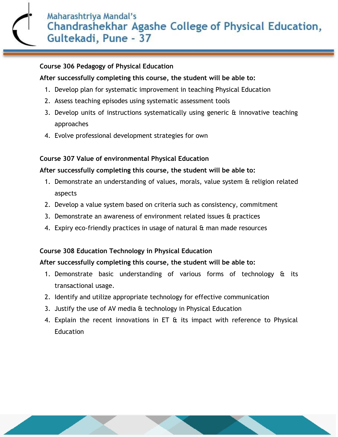#### **Course 306 Pedagogy of Physical Education**

#### **After successfully completing this course, the student will be able to:**

- 1. Develop plan for systematic improvement in teaching Physical Education
- 2. Assess teaching episodes using systematic assessment tools
- 3. Develop units of instructions systematically using generic & innovative teaching approaches
- 4. Evolve professional development strategies for own

#### **Course 307 Value of environmental Physical Education**

#### **After successfully completing this course, the student will be able to:**

- 1. Demonstrate an understanding of values, morals, value system & religion related aspects
- 2. Develop a value system based on criteria such as consistency, commitment
- 3. Demonstrate an awareness of environment related issues & practices
- 4. Expiry eco-friendly practices in usage of natural & man made resources

#### **Course 308 Education Technology in Physical Education**

- 1. Demonstrate basic understanding of various forms of technology & its transactional usage.
- 2. Identify and utilize appropriate technology for effective communication
- 3. Justify the use of AV media  $\theta$  technology in Physical Education
- 4. Explain the recent innovations in ET & its impact with reference to Physical **Education**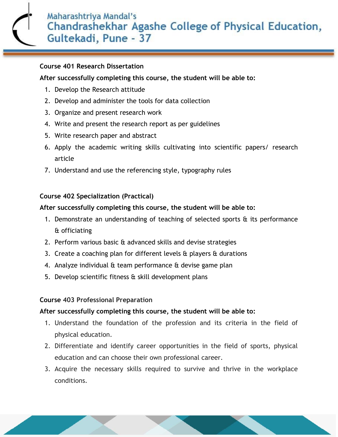#### **Course 401 Research Dissertation**

#### **After successfully completing this course, the student will be able to:**

- 1. Develop the Research attitude
- 2. Develop and administer the tools for data collection
- 3. Organize and present research work
- 4. Write and present the research report as per guidelines
- 5. Write research paper and abstract
- 6. Apply the academic writing skills cultivating into scientific papers/ research article
- 7. Understand and use the referencing style, typography rules

#### **Course 402 Specialization (Practical)**

#### **After successfully completing this course, the student will be able to:**

- 1. Demonstrate an understanding of teaching of selected sports  $\hat{a}$  its performance & officiating
- 2. Perform various basic & advanced skills and devise strategies
- 3. Create a coaching plan for different levels  $\alpha$  players  $\alpha$  durations
- 4. Analyze individual & team performance & devise game plan
- 5. Develop scientific fitness & skill development plans

#### **Course 403 Professional Preparation**

- 1. Understand the foundation of the profession and its criteria in the field of physical education.
- 2. Differentiate and identify career opportunities in the field of sports, physical education and can choose their own professional career.
- 3. Acquire the necessary skills required to survive and thrive in the workplace conditions.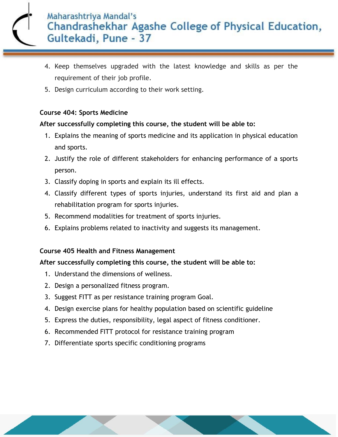- 4. Keep themselves upgraded with the latest knowledge and skills as per the requirement of their job profile.
- 5. Design curriculum according to their work setting.

#### **Course 404: Sports Medicine**

#### **After successfully completing this course, the student will be able to:**

- 1. Explains the meaning of sports medicine and its application in physical education and sports.
- 2. Justify the role of different stakeholders for enhancing performance of a sports person.
- 3. Classify doping in sports and explain its ill effects.
- 4. Classify different types of sports injuries, understand its first aid and plan a rehabilitation program for sports injuries.
- 5. Recommend modalities for treatment of sports injuries.
- 6. Explains problems related to inactivity and suggests its management.

#### **Course 405 Health and Fitness Management**

- 1. Understand the dimensions of wellness.
- 2. Design a personalized fitness program.
- 3. Suggest FITT as per resistance training program Goal.
- 4. Design exercise plans for healthy population based on scientific guideline
- 5. Express the duties, responsibility, legal aspect of fitness conditioner.
- 6. Recommended FITT protocol for resistance training program
- 7. Differentiate sports specific conditioning programs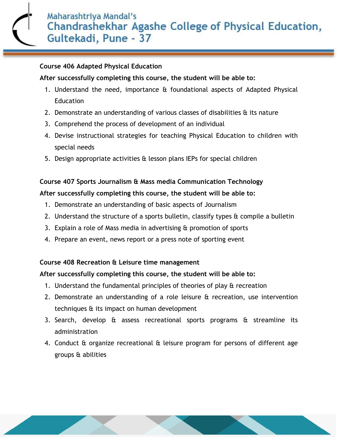#### **Course 406 Adapted Physical Education**

#### **After successfully completing this course, the student will be able to:**

- 1. Understand the need, importance & foundational aspects of Adapted Physical **Education**
- 2. Demonstrate an understanding of various classes of disabilities & its nature
- 3. Comprehend the process of development of an individual
- 4. Devise instructional strategies for teaching Physical Education to children with special needs
- 5. Design appropriate activities & lesson plans IEPs for special children

### **Course 407 Sports Journalism & Mass media Communication Technology After successfully completing this course, the student will be able to:**

- 1. Demonstrate an understanding of basic aspects of Journalism
- 2. Understand the structure of a sports bulletin, classify types  $\alpha$  compile a bulletin
- 3. Explain a role of Mass media in advertising & promotion of sports
- 4. Prepare an event, news report or a press note of sporting event

#### **Course 408 Recreation & Leisure time management**

- 1. Understand the fundamental principles of theories of play & recreation
- 2. Demonstrate an understanding of a role leisure & recreation, use intervention techniques & its impact on human development
- 3. Search, develop & assess recreational sports programs & streamline its administration
- 4. Conduct & organize recreational & leisure program for persons of different age groups & abilities